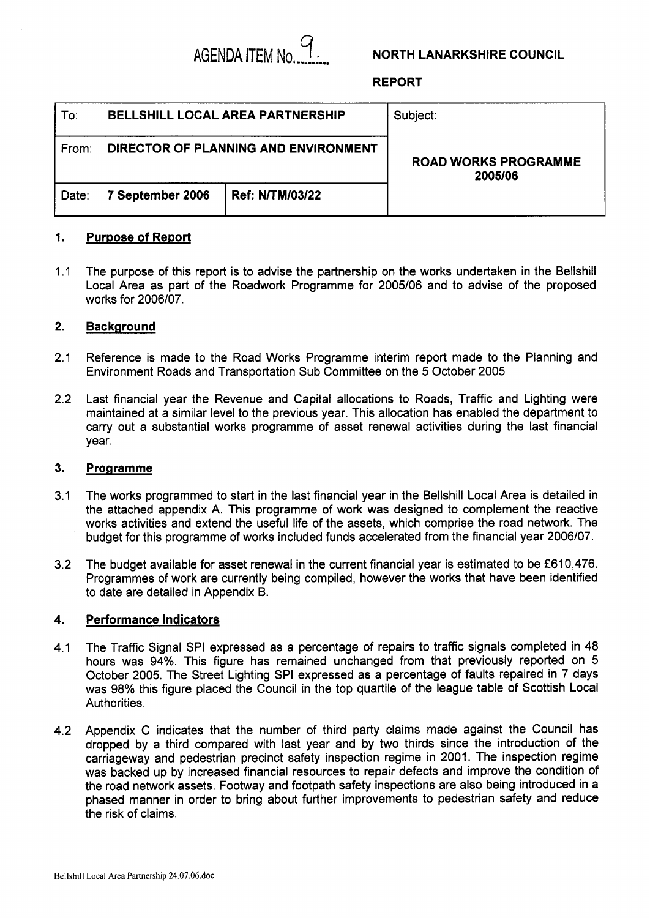

## **NORTH LANARKSHIRE COUNCIL**

**REPORT** 

| To:   |                  | <b>BELLSHILL LOCAL AREA PARTNERSHIP</b> | Subject:<br><b>ROAD WORKS PROGRAMME</b><br>2005/06 |  |  |
|-------|------------------|-----------------------------------------|----------------------------------------------------|--|--|
| From: |                  | DIRECTOR OF PLANNING AND ENVIRONMENT    |                                                    |  |  |
| Date: | 7 September 2006 | <b>Ref: N/TM/03/22</b>                  |                                                    |  |  |

#### **1. Purpose of Report**

 $1.1$ The purpose of this report is to advise the partnership on the works undertaken in the Bellshill Local Area as part of the Roadwork Programme for 2005/06 and to advise of the proposed works for 2006/07.

### **2. Background**

- 2.1 Reference is made to the Road Works Programme interim report made to the Planning and Environment Roads and Transportation Sub Committee on the 5 October 2005
- 2.2 Last financial year the Revenue and Capital allocations to Roads, Traffic and Lighting were maintained at a similar level to the previous year. This allocation has enabled the department to carry out a substantial works programme of asset renewal activities during the last financial year.

#### **3. Programme**

- 3.1 The works programmed to start in the last financial year in the Bellshill Local Area is detailed in the attached appendix A. This programme of work was designed to complement the reactive works activities and extend the useful life of the assets, which comprise the road network. The budget for this programme of works included funds accelerated from the financial year 2006/07.
- 3.2 The budget available for asset renewal in the current financial year is estimated to be £610,476. Programmes of work are currently being compiled, however the works that have been identified to date are detailed in Appendix B.

### **4. Performance Indicators**

- 4.1 The Traffic Signal SPI expressed as a percentage of repairs to traffic signals completed in 48 hours was **94%.** This figure has remained unchanged from that previously reported on 5 October 2005. The Street Lighting SPI expressed as a percentage of faults repaired in **7** days was 98% this figure placed the Council in the top quartile of the league table of Scottish Local Authorities.
- 4.2 Appendix C indicates that the number of third party claims made against the Council has dropped by a third compared with last year and by two thirds since the introduction of the carriageway and pedestrian precinct safety inspection regime in 2001. The inspection regime was backed up by increased financial resources to repair defects and improve the condition of the road network assets. Footway and footpath safety inspections are also being introduced in a phased manner in order to bring about further improvements to pedestrian safety and reduce the risk of claims.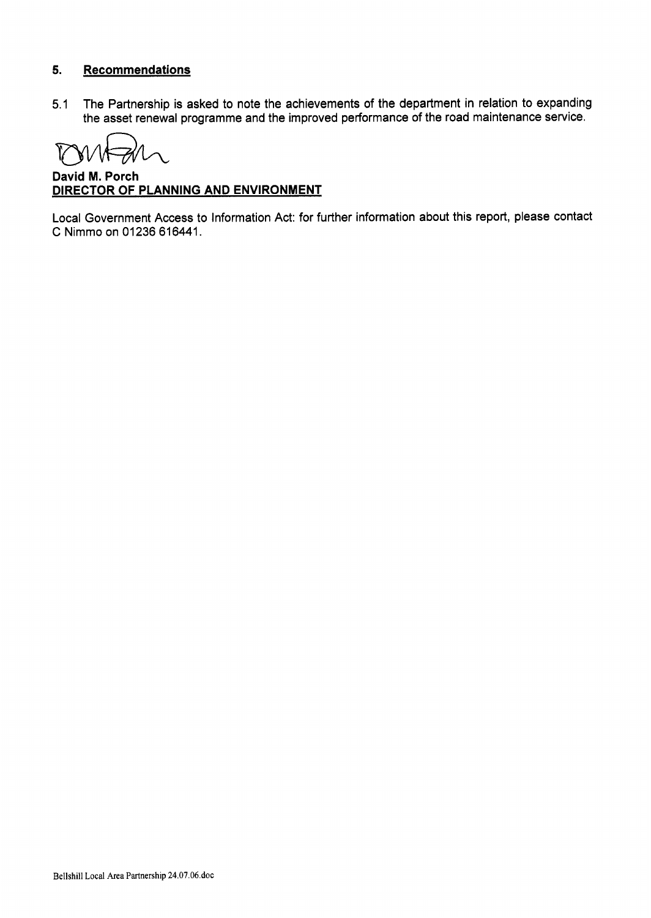## **5. Recommendations**

5.1 The Partnership is asked to note the achievements of the department in relation to expanding the asset renewal programme and the improved performance of the road maintenance service. Partnership<br>
sset renew<br>
and A

**David M. Porch DIRECTOR OF PLANNING AND ENVIRONMENT** 

Local Government Access to Information Act: for further information about this report, please contact C Nimmo on 01236 616441.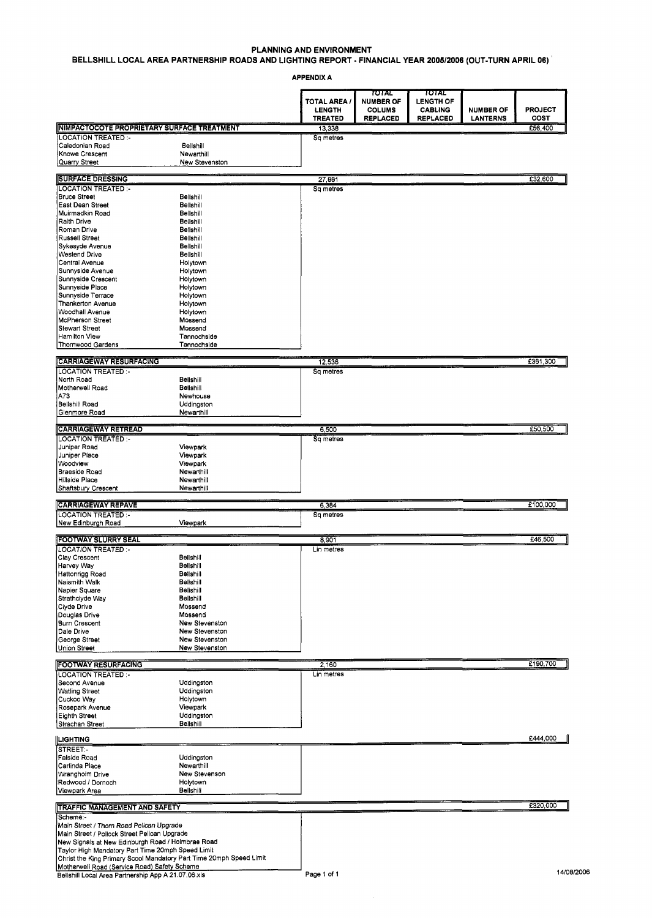## **PLANNING AND ENVIRONMENT**

### **BELLSHILL LOCAL AREA PARTNERSHIP ROADS AND LIGHTING REPORT** - **FINANCIAL YEAR 2005/2006 (OUT-TURN APRIL 06)** '

|                                                                                                      | BELLSHILL LOCAL AREA PARTNERSHIP ROADS AND LIGHTING REPORT - FINANCIAL YEAR 2005/2006 (OUT-TURN APRIL 06)                                                                     | PLANNING AND ENVIRONMENT      |                                            |                                             |                  |                 |
|------------------------------------------------------------------------------------------------------|-------------------------------------------------------------------------------------------------------------------------------------------------------------------------------|-------------------------------|--------------------------------------------|---------------------------------------------|------------------|-----------------|
|                                                                                                      |                                                                                                                                                                               | <b>APPENDIX A</b>             |                                            |                                             |                  |                 |
|                                                                                                      |                                                                                                                                                                               | TOTAL AREA /<br><b>LENGTH</b> | TOTAL<br><b>NUMBER OF</b><br><b>COLUMS</b> | באזטד<br><b>LENGTH OF</b><br><b>CABLING</b> | <b>NUMBER OF</b> | <b>PROJECT</b>  |
| <b>INIMPACTOCOTE PROPRIETARY SURFACE TREATMENT</b>                                                   |                                                                                                                                                                               | <b>TREATED</b><br>13.338      | <b>REPLACED</b>                            | <b>REPLACED</b>                             | <b>LANTERNS</b>  | COST<br>£56,400 |
| LOCATION TREATED :-<br>Caledonian Road<br>Knowe Crescent                                             | Bellshill<br>Newarthill                                                                                                                                                       | Sq metres                     |                                            |                                             |                  |                 |
| Quarry Street                                                                                        | New Stevenston                                                                                                                                                                | 27,881                        |                                            |                                             |                  | £32,600         |
| SURFACE DRESSING<br> LOCATION TREATED :-<br>Bruce Street                                             | Bellshill                                                                                                                                                                     | Sq metres                     |                                            |                                             |                  |                 |
| East Dean Street<br>Muirmadkin Road<br>Raith Drive                                                   | Bellshill<br>Bellshill<br>Bellshill                                                                                                                                           |                               |                                            |                                             |                  |                 |
| Roman Drive<br>Russell Street                                                                        | Bellshill<br>Bellshill                                                                                                                                                        |                               |                                            |                                             |                  |                 |
| Sykesyde Avenue<br>Westend Drive<br>Central Avenue                                                   | Bellshill<br>Bellshill<br>Holytown                                                                                                                                            |                               |                                            |                                             |                  |                 |
| Sunnyside Avenue<br>Sunnyside Crescent<br>Sunnyside Place                                            | Holytown<br>Holytown<br>Holytown                                                                                                                                              |                               |                                            |                                             |                  |                 |
| Sunnyside Terrace<br>Thankerton Avenue                                                               | Holytown<br>Holytown                                                                                                                                                          |                               |                                            |                                             |                  |                 |
| Woodhall Avenue<br>McPherson Street<br>Stewart Street                                                | Holytown<br>Mossend<br>Mossend                                                                                                                                                |                               |                                            |                                             |                  |                 |
| Hamilton View<br>Thornwood Gardens                                                                   | Tannochside<br>Tannochside                                                                                                                                                    |                               |                                            |                                             |                  |                 |
| CARRIAGEWAY RESURFACING                                                                              |                                                                                                                                                                               | 12,536<br>Sq metres           |                                            |                                             |                  | £361,300        |
| North Road<br>Motherwell Road                                                                        | Bellshill<br>Bellshill                                                                                                                                                        |                               |                                            |                                             |                  |                 |
| A73<br>Bellshill Road<br>Glenmore Road                                                               | Newhouse<br>Uddingston<br>Newarthill                                                                                                                                          |                               |                                            |                                             |                  |                 |
| CARRIAGEWAY RETREAD<br> LOCATION TREATED :-                                                          |                                                                                                                                                                               | 6,500<br>Sq metres            |                                            |                                             |                  | £50,500         |
| Juniper Road<br>Juniper Place                                                                        | Viewpark<br>Viewpark                                                                                                                                                          |                               |                                            |                                             |                  |                 |
| Woodview<br>Braeside Road<br>Hillside Place                                                          | Viewpark<br>Newarthill<br>Newarthill                                                                                                                                          |                               |                                            |                                             |                  |                 |
| Shaftsbury Crescent<br><b>CARRIAGEWAY REPAVE</b>                                                     | Newarthill                                                                                                                                                                    | 6,384                         |                                            |                                             |                  | £100,000        |
| LOCATION TREATED :-<br>New Edinburgh Road                                                            | Viewpark                                                                                                                                                                      | Sq metres                     |                                            |                                             |                  |                 |
| <b>FOOTWAY SLURRY SEAL</b><br>LOCATION TREATED :-                                                    |                                                                                                                                                                               | 8,901<br>Lin metres           |                                            |                                             |                  | £46,500         |
| Clay Crescent<br>Harvey Way                                                                          | Bellshill<br>Bellshill<br>Bellshill                                                                                                                                           |                               |                                            |                                             |                  |                 |
| Hattonrigg Road<br>Naismith Walk<br>Napier Square                                                    | Bellshill<br>Belishill                                                                                                                                                        |                               |                                            |                                             |                  |                 |
| Strathclyde Way<br>Clyde Drive<br>Douglas Drive                                                      | Bellshill<br>Mossend<br>Mossend                                                                                                                                               |                               |                                            |                                             |                  |                 |
| Burn Crescent<br>Dale Drive<br>George Street<br>Union Street                                         | New Stevenston<br>New Stevenston<br>New Stevenston                                                                                                                            |                               |                                            |                                             |                  |                 |
|                                                                                                      | New Stevenston                                                                                                                                                                |                               |                                            |                                             |                  |                 |
| <b>FOOTWAY RESURFACING</b><br>LOCATION TREATED :-                                                    | Uddingston                                                                                                                                                                    | 2,160<br>Lin metres           |                                            |                                             |                  | £190,700        |
| Second Avenue<br>Watling Street<br>Cuckoo Way                                                        | Uddingston<br>Holytown                                                                                                                                                        |                               |                                            |                                             |                  |                 |
| Rosepark Avenue<br>Eighth Street<br>Strachan Street                                                  | Viewpark<br>Uddingston<br>Belishill                                                                                                                                           |                               |                                            |                                             |                  |                 |
| <b>LIGHTING</b><br>STREET.                                                                           |                                                                                                                                                                               |                               |                                            |                                             |                  | £444,000        |
| Falside Road<br>Carlinda Place                                                                       | Uddingston<br>Newarthill                                                                                                                                                      |                               |                                            |                                             |                  |                 |
| Wrangholm Drive<br>Redwood / Dornoch<br>Viewpark Area                                                | New Stevenson<br>Holytown<br>Bellshill                                                                                                                                        |                               |                                            |                                             |                  |                 |
| <b>TRAFFIC MANAGEMENT AND SAFETY</b>                                                                 |                                                                                                                                                                               |                               |                                            |                                             |                  | £320,000        |
| Scheme:-<br>Main Street / Thorn Road Pelican Upgrade<br>Main Street / Pollock Street Pelican Upgrade |                                                                                                                                                                               |                               |                                            |                                             |                  |                 |
|                                                                                                      | New Signals at New Edinburgh Road / Holmbrae Road<br>Taylor High Mandatory Part Time 20mph Speed Limit<br>Christ the King Primary Scool Mandatory Part Time 20mph Speed Limit |                               |                                            |                                             |                  |                 |
| Motherwell Road (Service Road) Safety Scheme<br>Bellshill Local Area Partnership App A 21.07.06.xls  |                                                                                                                                                                               | Page 1 of 1                   |                                            |                                             |                  | 14/08/2006      |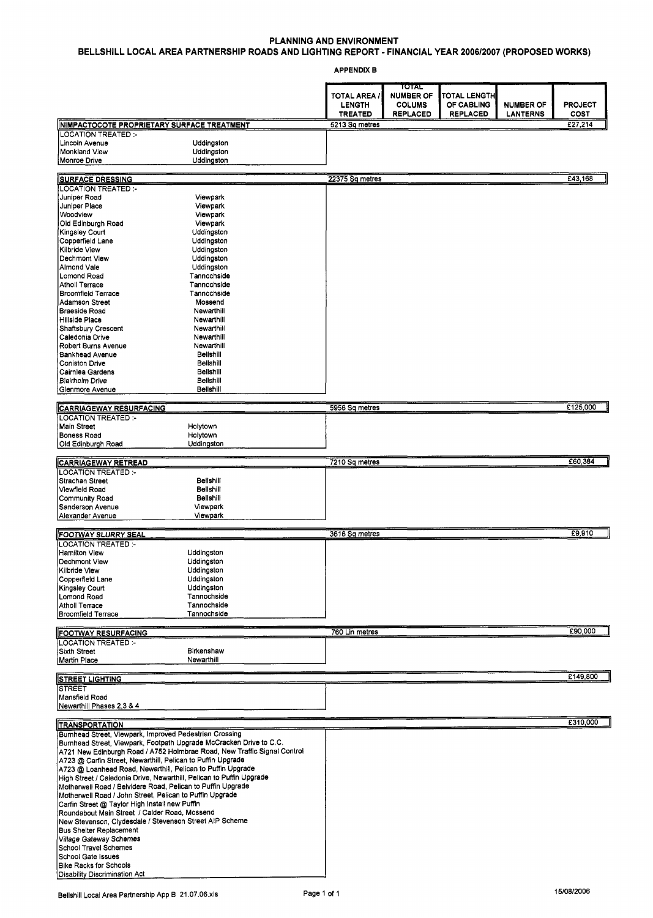## **PLANNING AND ENVIRONMENT BELLSHILL LOCAL AREA PARTNERSHIP ROADS AND LIGHTING REPORT** - **FINANCIAL YEAR 2006/2007 (PROPOSED WORKS)**

APPENDIX B

|                                                                                                                            |                                                                          | <b>TOTAL AREA /</b><br><b>LENGTH</b> | TOTAL<br><b>NUMBER OF</b><br><b>COLUMS</b> | TOTAL LENGTH<br>OF CABLING | <b>NUMBER OF</b> | <b>PROJECT</b>  |
|----------------------------------------------------------------------------------------------------------------------------|--------------------------------------------------------------------------|--------------------------------------|--------------------------------------------|----------------------------|------------------|-----------------|
|                                                                                                                            |                                                                          | <b>TREATED</b>                       | <b>REPLACED</b>                            | <b>REPLACED</b>            | LANTERNS         | COST<br>E27,214 |
| NIMPACTOCOTE PROPRIETARY SURFACE TREATMENT<br><b>LOCATION TREATED:-</b>                                                    |                                                                          | 5213 Sq metres                       |                                            |                            |                  |                 |
| Lincoln Avenue                                                                                                             | Uddingston                                                               |                                      |                                            |                            |                  |                 |
| Monkland View                                                                                                              | Uddingston                                                               |                                      |                                            |                            |                  |                 |
| Monroe Drive                                                                                                               | Uddingston                                                               |                                      |                                            |                            |                  |                 |
| <b>SURFACE DRESSING</b>                                                                                                    |                                                                          | 22375 Sq metres                      |                                            |                            |                  | £43,168         |
| <b>LOCATION TREATED:-</b>                                                                                                  |                                                                          |                                      |                                            |                            |                  |                 |
| Juniper Road                                                                                                               | Viewpark                                                                 |                                      |                                            |                            |                  |                 |
| Juniper Place<br>Woodview                                                                                                  | Viewpark<br>Viewpark                                                     |                                      |                                            |                            |                  |                 |
| Oid Edinburgh Road                                                                                                         | Viewpark                                                                 |                                      |                                            |                            |                  |                 |
| Kingsley Court                                                                                                             | Uddingston                                                               |                                      |                                            |                            |                  |                 |
| Copperfield Lane                                                                                                           | Uddingston                                                               |                                      |                                            |                            |                  |                 |
| Kilbride View<br>Dechmont View                                                                                             | Uddingston<br>Uddingston                                                 |                                      |                                            |                            |                  |                 |
| Almond Vale                                                                                                                | Uddingston                                                               |                                      |                                            |                            |                  |                 |
| Lomond Road                                                                                                                | Tannochside                                                              |                                      |                                            |                            |                  |                 |
| <b>Atholl Terrace</b>                                                                                                      | Tannochside                                                              |                                      |                                            |                            |                  |                 |
| <b>Broomfield Terrace</b>                                                                                                  | Tannochside                                                              |                                      |                                            |                            |                  |                 |
| Adamson Street<br>Braeside Road                                                                                            | Mossend<br>Newarthill                                                    |                                      |                                            |                            |                  |                 |
| Hillside Place                                                                                                             | Newarthill                                                               |                                      |                                            |                            |                  |                 |
| Shaftsbury Crescent                                                                                                        | Newarthill                                                               |                                      |                                            |                            |                  |                 |
| Caledonia Drive                                                                                                            | Newarthill                                                               |                                      |                                            |                            |                  |                 |
| Robert Burns Avenue                                                                                                        | Newarthill                                                               |                                      |                                            |                            |                  |                 |
| <b>Bankhead Avenue</b><br>Coniston Drive                                                                                   | Belishill<br><b>Bellshill</b>                                            |                                      |                                            |                            |                  |                 |
| Cairnlea Gardens                                                                                                           | Bellshill                                                                |                                      |                                            |                            |                  |                 |
| Blairholm Drive                                                                                                            | Bellshill                                                                |                                      |                                            |                            |                  |                 |
| Glenmore Avenue                                                                                                            | Bellshill                                                                |                                      |                                            |                            |                  |                 |
| <b>CARRIAGEWAY RESURFACING</b>                                                                                             |                                                                          | 5956 Sq metres                       |                                            |                            |                  | £125,000        |
| LOCATION TREATED :-<br>Main Street                                                                                         | Holytown                                                                 |                                      |                                            |                            |                  |                 |
| <b>Boness Road</b>                                                                                                         | Holytown                                                                 |                                      |                                            |                            |                  |                 |
| Old Edinburgh Road                                                                                                         | Uddingston                                                               |                                      |                                            |                            |                  |                 |
|                                                                                                                            |                                                                          |                                      |                                            |                            |                  | £60,384         |
| <b>CARRIAGEWAY RETREAD</b><br><b>LOCATION TREATED:-</b>                                                                    |                                                                          | 7210 Sq metres                       |                                            |                            |                  |                 |
| Strachan Street                                                                                                            | Belishill                                                                |                                      |                                            |                            |                  |                 |
| Viewfield Road                                                                                                             | Bellshill                                                                |                                      |                                            |                            |                  |                 |
| <b>Community Road</b>                                                                                                      | Bellshill                                                                |                                      |                                            |                            |                  |                 |
| Sanderson Avenue<br>Alexander Avenue                                                                                       | Viewpark<br>Viewpark                                                     |                                      |                                            |                            |                  |                 |
|                                                                                                                            |                                                                          |                                      |                                            |                            |                  |                 |
| <b>FOOTWAY SLURRY SEAL</b>                                                                                                 |                                                                          | 3616 Sq metres                       |                                            |                            |                  | £9,910          |
| <b>LOCATION TREATED:-</b>                                                                                                  |                                                                          |                                      |                                            |                            |                  |                 |
| Hamilton View                                                                                                              | Uddingston                                                               |                                      |                                            |                            |                  |                 |
| Dechmont View<br>Kilbride View                                                                                             | Uddingston<br>Uddingston                                                 |                                      |                                            |                            |                  |                 |
| Copperfield Lane                                                                                                           | Uddingston                                                               |                                      |                                            |                            |                  |                 |
| Kingsley Court                                                                                                             | Uddingston                                                               |                                      |                                            |                            |                  |                 |
| Lomond Road                                                                                                                | Tannochside                                                              |                                      |                                            |                            |                  |                 |
| Atholl Terrace                                                                                                             | Tannochside                                                              |                                      |                                            |                            |                  |                 |
| Broomfield Terrace                                                                                                         | Tannochside                                                              |                                      |                                            |                            |                  |                 |
| <b>FOOTWAY RESURFACING</b>                                                                                                 |                                                                          | 760 Lin metres                       |                                            |                            |                  | £90,000         |
| <b>LOCATION TREATED:-</b>                                                                                                  |                                                                          |                                      |                                            |                            |                  |                 |
| Sixth Street                                                                                                               | Birkenshaw                                                               |                                      |                                            |                            |                  |                 |
| Martin Place                                                                                                               | Newarthill                                                               |                                      |                                            |                            |                  |                 |
| <b>STREET LIGHTING</b>                                                                                                     |                                                                          |                                      |                                            |                            |                  | £149,800        |
| STREET                                                                                                                     |                                                                          |                                      |                                            |                            |                  |                 |
| Mansfield Road                                                                                                             |                                                                          |                                      |                                            |                            |                  |                 |
| Newarthill Phases 2.3 & 4                                                                                                  |                                                                          |                                      |                                            |                            |                  |                 |
| <b>TRANSPORTATION</b>                                                                                                      |                                                                          |                                      |                                            |                            |                  | £310,000        |
| Burnhead Street, Viewpark, Improved Pedestrian Crossing                                                                    |                                                                          |                                      |                                            |                            |                  |                 |
|                                                                                                                            | Burnhead Street, Viewpark, Footpath Upgrade McCracken Drive to C.C.      |                                      |                                            |                            |                  |                 |
|                                                                                                                            | A721 New Edinburgh Road / A752 Holmbrae Road, New Traffic Signal Control |                                      |                                            |                            |                  |                 |
| A723 @ Carfin Street, Newarthill, Pelican to Puffin Upgrade<br>A723 @ Loanhead Road, Newarthill, Pelican to Puffin Upgrade |                                                                          |                                      |                                            |                            |                  |                 |
|                                                                                                                            | High Street / Caledonia Drive, Newarthill, Pelican to Puffin Upgrade     |                                      |                                            |                            |                  |                 |
| Motherwell Road / Belvidere Road, Pelican to Puffin Upgrade                                                                |                                                                          |                                      |                                            |                            |                  |                 |
| Motherwell Road / John Street, Pelican to Puffin Upgrade                                                                   |                                                                          |                                      |                                            |                            |                  |                 |
| Carfin Street @ Taylor High Install new Puffin                                                                             |                                                                          |                                      |                                            |                            |                  |                 |
| Roundabout Main Street  / Calder Road, Mossend                                                                             |                                                                          |                                      |                                            |                            |                  |                 |
| New Stevenson, Clydesdale / Stevenson Street AIP Scheme<br>Bus Shelter Replacement                                         |                                                                          |                                      |                                            |                            |                  |                 |
| Village Gateway Schemes                                                                                                    |                                                                          |                                      |                                            |                            |                  |                 |
| School Travel Schemes                                                                                                      |                                                                          |                                      |                                            |                            |                  |                 |
| School Gate Issues                                                                                                         |                                                                          |                                      |                                            |                            |                  |                 |
| <b>Bike Racks for Schools</b><br>Disability Discrimination Act                                                             |                                                                          |                                      |                                            |                            |                  |                 |
|                                                                                                                            |                                                                          |                                      |                                            |                            |                  |                 |